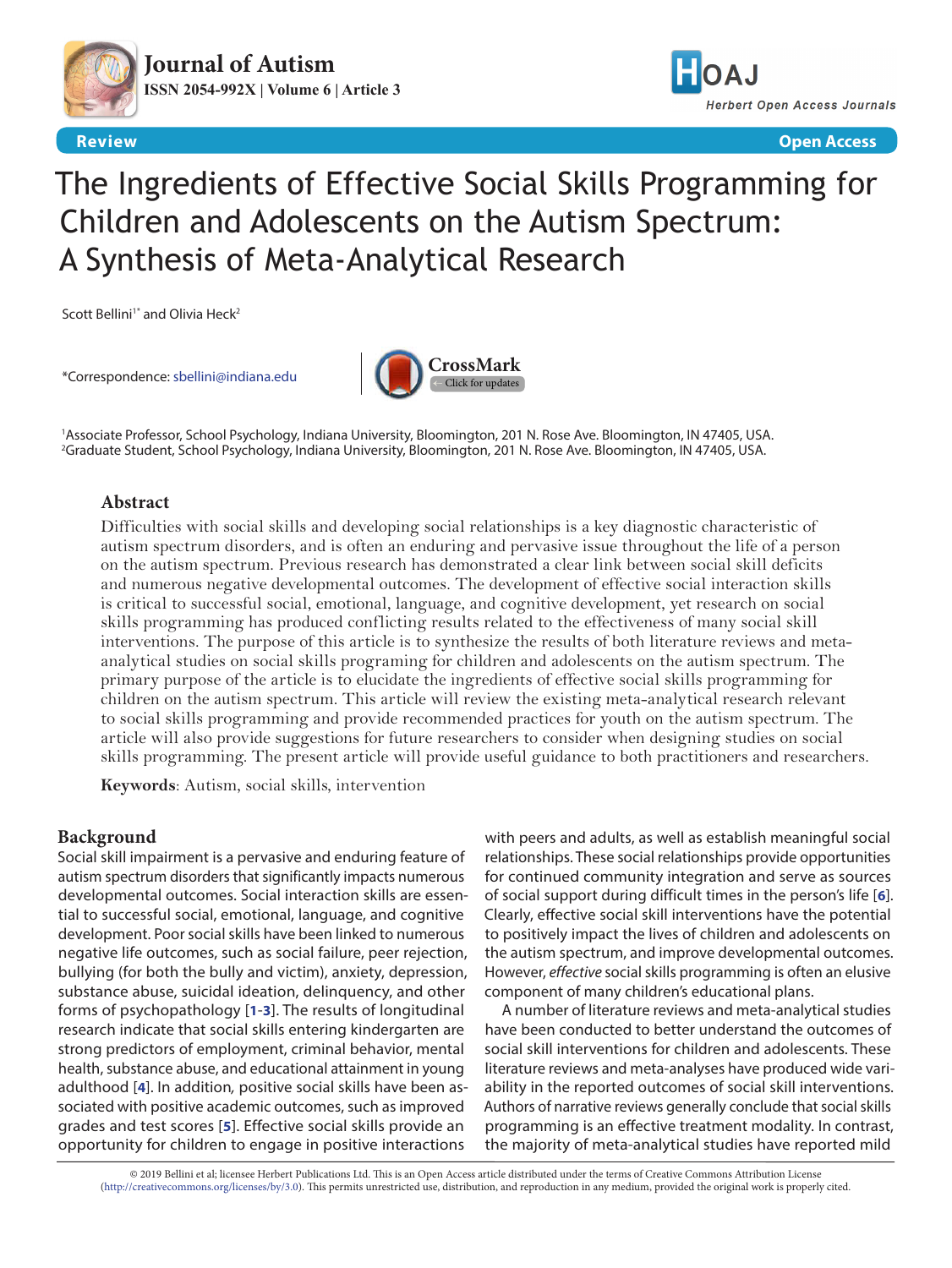



**Review Open Access**

# The Ingredients of Effective Social Skills Programming for Children and Adolescents on the Autism Spectrum: A Synthesis of Meta-Analytical Research

Scott Bellini<sup>1\*</sup> and Olivia Heck<sup>2</sup>

\*Correspondence: [sbellini@indiana.edu](mailto:sbellini%40indiana.edu?subject=)



1 Associate Professor, School Psychology, Indiana University, Bloomington, 201 N. Rose Ave. Bloomington, IN 47405, USA. 2 Graduate Student, School Psychology, Indiana University, Bloomington, 201 N. Rose Ave. Bloomington, IN 47405, USA.

# **Abstract**

Difficulties with social skills and developing social relationships is a key diagnostic characteristic of autism spectrum disorders, and is often an enduring and pervasive issue throughout the life of a person on the autism spectrum. Previous research has demonstrated a clear link between social skill deficits and numerous negative developmental outcomes. The development of effective social interaction skills is critical to successful social, emotional, language, and cognitive development, yet research on social skills programming has produced conflicting results related to the effectiveness of many social skill interventions. The purpose of this article is to synthesize the results of both literature reviews and metaanalytical studies on social skills programing for children and adolescents on the autism spectrum. The primary purpose of the article is to elucidate the ingredients of effective social skills programming for children on the autism spectrum. This article will review the existing meta-analytical research relevant to social skills programming and provide recommended practices for youth on the autism spectrum. The article will also provide suggestions for future researchers to consider when designing studies on social skills programming. The present article will provide useful guidance to both practitioners and researchers.

**Keywords**: Autism, social skills, intervention

# **Background**

Social skill impairment is a pervasive and enduring feature of autism spectrum disorders that significantly impacts numerous developmental outcomes. Social interaction skills are essential to successful social, emotional, language, and cognitive development. Poor social skills have been linked to numerous negative life outcomes, such as social failure, peer rejection, bullying (for both the bully and victim), anxiety, depression, substance abuse, suicidal ideation, delinquency, and other forms of psychopathology [**[1](#page-6-0)**-**[3](#page-6-1)**]. The results of longitudinal research indicate that social skills entering kindergarten are strong predictors of employment, criminal behavior, mental health, substance abuse, and educational attainment in young adulthood [**[4](#page-6-2)**]. In addition*,* positive social skills have been associated with positive academic outcomes, such as improved grades and test scores [**[5](#page-6-3)**]. Effective social skills provide an opportunity for children to engage in positive interactions

with peers and adults, as well as establish meaningful social relationships. These social relationships provide opportunities for continued community integration and serve as sources of social support during difficult times in the person's life [**[6](#page-6-4)**]. Clearly, effective social skill interventions have the potential to positively impact the lives of children and adolescents on the autism spectrum, and improve developmental outcomes. However, *effective* social skills programming is often an elusive component of many children's educational plans.

A number of literature reviews and meta-analytical studies have been conducted to better understand the outcomes of social skill interventions for children and adolescents. These literature reviews and meta-analyses have produced wide variability in the reported outcomes of social skill interventions. Authors of narrative reviews generally conclude that social skills programming is an effective treatment modality. In contrast, the majority of meta-analytical studies have reported mild

© 2019 Bellini et al; licensee Herbert Publications Ltd. This is an Open Access article distributed under the terms of Creative Commons Attribution License [\(http://creativecommons.org/licenses/by/3.0\)](http://creativecommons.org/licenses/by/3.0). This permits unrestricted use, distribution, and reproduction in any medium, provided the original work is properly cited.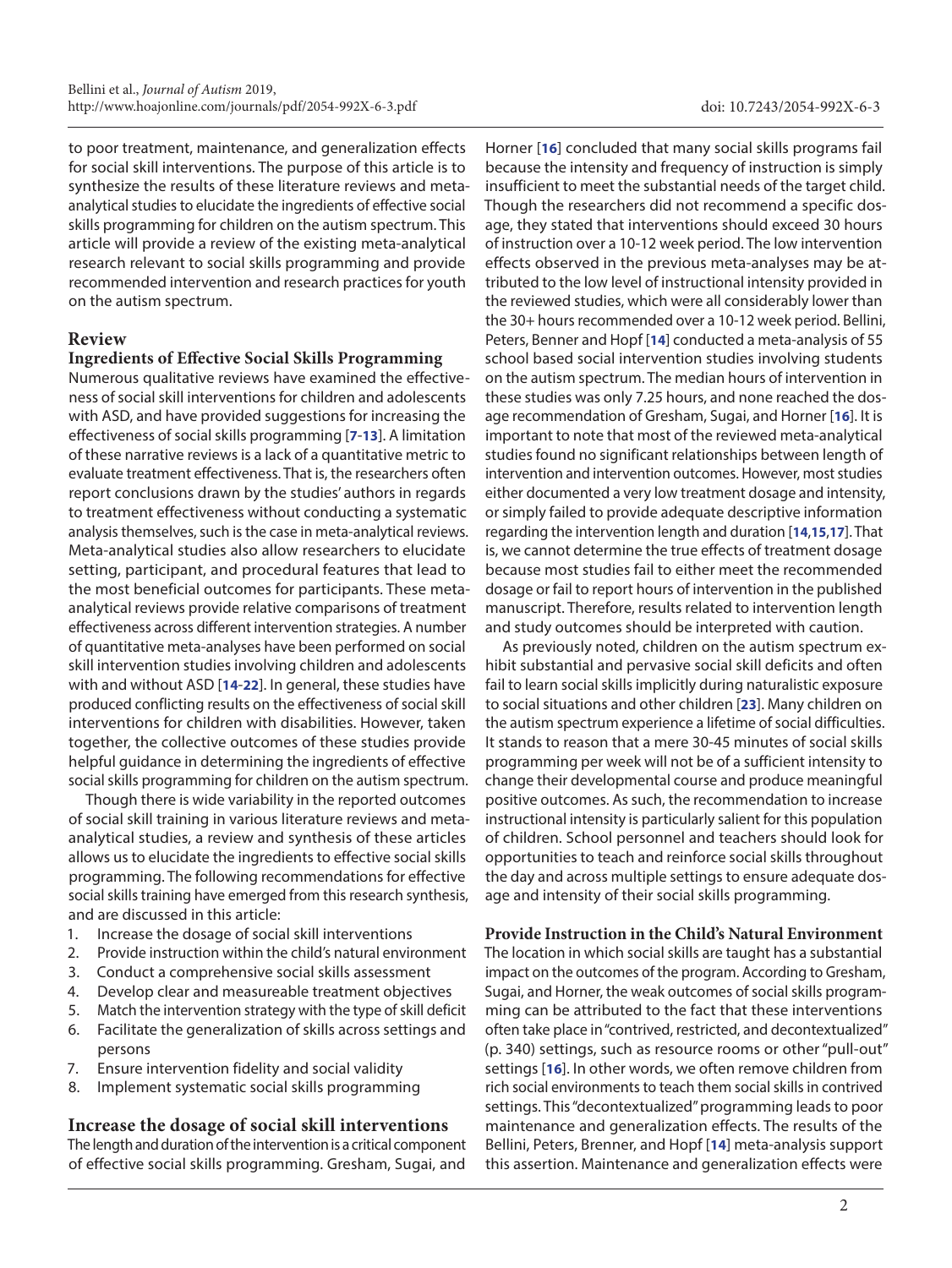to poor treatment, maintenance, and generalization effects for social skill interventions. The purpose of this article is to synthesize the results of these literature reviews and metaanalytical studies to elucidate the ingredients of effective social skills programming for children on the autism spectrum. This article will provide a review of the existing meta-analytical research relevant to social skills programming and provide recommended intervention and research practices for youth on the autism spectrum.

# **Review**

## **Ingredients of Effective Social Skills Programming**

Numerous qualitative reviews have examined the effectiveness of social skill interventions for children and adolescents with ASD, and have provided suggestions for increasing the effectiveness of social skills programming [**[7](#page-6-5)**-**[13](#page-6-6)**]. A limitation of these narrative reviews is a lack of a quantitative metric to evaluate treatment effectiveness. That is, the researchers often report conclusions drawn by the studies' authors in regards to treatment effectiveness without conducting a systematic analysis themselves, such is the case in meta-analytical reviews. Meta-analytical studies also allow researchers to elucidate setting, participant, and procedural features that lead to the most beneficial outcomes for participants. These metaanalytical reviews provide relative comparisons of treatment effectiveness across different intervention strategies. A number of quantitative meta-analyses have been performed on social skill intervention studies involving children and adolescents with and without ASD [**[14](#page-6-7)**-**[22](#page-6-8)**]. In general, these studies have produced conflicting results on the effectiveness of social skill interventions for children with disabilities. However, taken together, the collective outcomes of these studies provide helpful guidance in determining the ingredients of effective social skills programming for children on the autism spectrum.

Though there is wide variability in the reported outcomes of social skill training in various literature reviews and metaanalytical studies, a review and synthesis of these articles allows us to elucidate the ingredients to effective social skills programming. The following recommendations for effective social skills training have emerged from this research synthesis, and are discussed in this article:

- 1. Increase the dosage of social skill interventions
- 2. Provide instruction within the child's natural environment
- 3. Conduct a comprehensive social skills assessment
- 4. Develop clear and measureable treatment objectives
- 5. Match the intervention strategy with the type of skill deficit
- 6. Facilitate the generalization of skills across settings and persons
- 7. Ensure intervention fidelity and social validity
- 8. Implement systematic social skills programming

# **Increase the dosage of social skill interventions**

The length and duration of the intervention is a critical component of effective social skills programming. Gresham, Sugai, and

Horner [**[16](#page-6-9)**] concluded that many social skills programs fail because the intensity and frequency of instruction is simply insufficient to meet the substantial needs of the target child. Though the researchers did not recommend a specific dosage, they stated that interventions should exceed 30 hours of instruction over a 10-12 week period. The low intervention effects observed in the previous meta-analyses may be attributed to the low level of instructional intensity provided in the reviewed studies, which were all considerably lower than the 30+ hours recommended over a 10-12 week period. Bellini, Peters, Benner and Hopf [**[14](#page-6-7)**] conducted a meta-analysis of 55 school based social intervention studies involving students on the autism spectrum. The median hours of intervention in these studies was only 7.25 hours, and none reached the dosage recommendation of Gresham, Sugai, and Horner [**[16](#page-6-9)**]. It is important to note that most of the reviewed meta-analytical studies found no significant relationships between length of intervention and intervention outcomes. However, most studies either documented a very low treatment dosage and intensity, or simply failed to provide adequate descriptive information regarding the intervention length and duration [**[14](#page-6-7)**,**[15](#page-6-10)**,**[17](#page-6-11)**]. That is, we cannot determine the true effects of treatment dosage because most studies fail to either meet the recommended dosage or fail to report hours of intervention in the published manuscript. Therefore, results related to intervention length and study outcomes should be interpreted with caution.

As previously noted, children on the autism spectrum exhibit substantial and pervasive social skill deficits and often fail to learn social skills implicitly during naturalistic exposure to social situations and other children [**[23](#page-6-12)**]. Many children on the autism spectrum experience a lifetime of social difficulties. It stands to reason that a mere 30-45 minutes of social skills programming per week will not be of a sufficient intensity to change their developmental course and produce meaningful positive outcomes. As such, the recommendation to increase instructional intensity is particularly salient for this population of children. School personnel and teachers should look for opportunities to teach and reinforce social skills throughout the day and across multiple settings to ensure adequate dosage and intensity of their social skills programming.

# **Provide Instruction in the Child's Natural Environment**

The location in which social skills are taught has a substantial impact on the outcomes of the program. According to Gresham, Sugai, and Horner, the weak outcomes of social skills programming can be attributed to the fact that these interventions often take place in "contrived, restricted, and decontextualized" (p. 340) settings, such as resource rooms or other "pull-out" settings [**[16](#page-6-9)**]. In other words, we often remove children from rich social environments to teach them social skills in contrived settings. This "decontextualized" programming leads to poor maintenance and generalization effects. The results of the Bellini, Peters, Brenner, and Hopf [**[14](#page-6-7)**] meta-analysis support this assertion. Maintenance and generalization effects were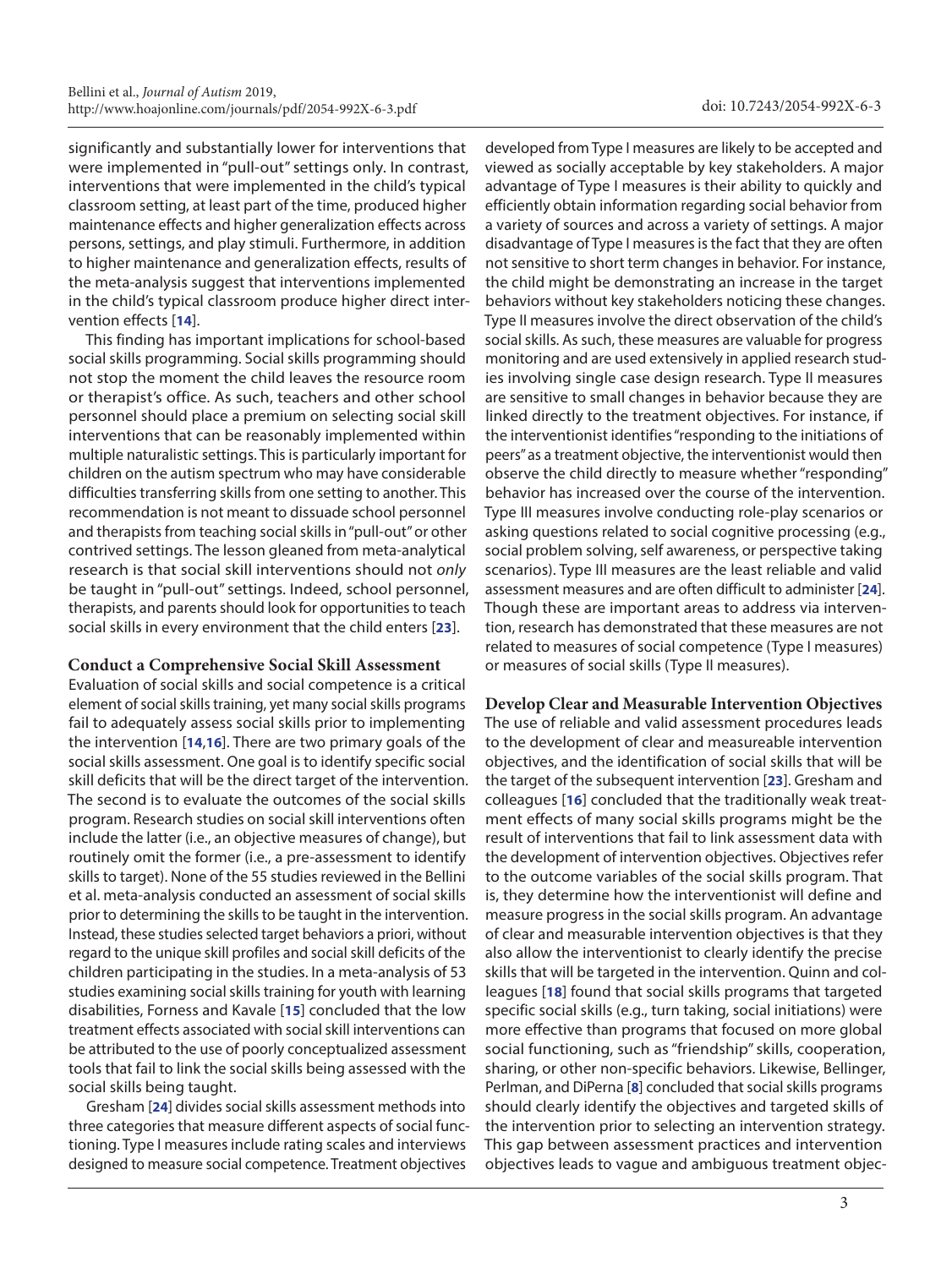significantly and substantially lower for interventions that were implemented in "pull-out" settings only. In contrast, interventions that were implemented in the child's typical classroom setting, at least part of the time, produced higher maintenance effects and higher generalization effects across persons, settings, and play stimuli. Furthermore, in addition to higher maintenance and generalization effects, results of the meta-analysis suggest that interventions implemented in the child's typical classroom produce higher direct intervention effects [**[14](#page-6-7)**].

This finding has important implications for school-based social skills programming. Social skills programming should not stop the moment the child leaves the resource room or therapist's office. As such, teachers and other school personnel should place a premium on selecting social skill interventions that can be reasonably implemented within multiple naturalistic settings. This is particularly important for children on the autism spectrum who may have considerable difficulties transferring skills from one setting to another. This recommendation is not meant to dissuade school personnel and therapists from teaching social skills in "pull-out" or other contrived settings. The lesson gleaned from meta-analytical research is that social skill interventions should not *only* be taught in "pull-out" settings. Indeed, school personnel, therapists, and parents should look for opportunities to teach social skills in every environment that the child enters [**[23](#page-6-12)**].

#### **Conduct a Comprehensive Social Skill Assessment**

Evaluation of social skills and social competence is a critical element of social skills training, yet many social skills programs fail to adequately assess social skills prior to implementing the intervention [**[14](#page-6-7)**,**[16](#page-6-9)**]. There are two primary goals of the social skills assessment. One goal is to identify specific social skill deficits that will be the direct target of the intervention. The second is to evaluate the outcomes of the social skills program. Research studies on social skill interventions often include the latter (i.e., an objective measures of change), but routinely omit the former (i.e., a pre-assessment to identify skills to target). None of the 55 studies reviewed in the Bellini et al. meta-analysis conducted an assessment of social skills prior to determining the skills to be taught in the intervention. Instead, these studies selected target behaviors a priori, without regard to the unique skill profiles and social skill deficits of the children participating in the studies. In a meta-analysis of 53 studies examining social skills training for youth with learning disabilities, Forness and Kavale [**[15](#page-6-10)**] concluded that the low treatment effects associated with social skill interventions can be attributed to the use of poorly conceptualized assessment tools that fail to link the social skills being assessed with the social skills being taught.

Gresham [**[24](#page-6-13)**] divides social skills assessment methods into three categories that measure different aspects of social functioning. Type I measures include rating scales and interviews designed to measure social competence. Treatment objectives

developed from Type I measures are likely to be accepted and viewed as socially acceptable by key stakeholders. A major advantage of Type I measures is their ability to quickly and efficiently obtain information regarding social behavior from a variety of sources and across a variety of settings. A major disadvantage of Type I measures is the fact that they are often not sensitive to short term changes in behavior. For instance, the child might be demonstrating an increase in the target behaviors without key stakeholders noticing these changes. Type II measures involve the direct observation of the child's social skills. As such, these measures are valuable for progress monitoring and are used extensively in applied research studies involving single case design research. Type II measures are sensitive to small changes in behavior because they are linked directly to the treatment objectives. For instance, if the interventionist identifies "responding to the initiations of peers" as a treatment objective, the interventionist would then observe the child directly to measure whether "responding" behavior has increased over the course of the intervention. Type III measures involve conducting role-play scenarios or asking questions related to social cognitive processing (e.g., social problem solving, self awareness, or perspective taking scenarios). Type III measures are the least reliable and valid assessment measures and are often difficult to administer [**[24](#page-6-13)**]. Though these are important areas to address via intervention, research has demonstrated that these measures are not related to measures of social competence (Type I measures) or measures of social skills (Type II measures).

# **Develop Clear and Measurable Intervention Objectives** The use of reliable and valid assessment procedures leads

to the development of clear and measureable intervention objectives, and the identification of social skills that will be the target of the subsequent intervention [**[23](#page-6-12)**]. Gresham and colleagues [**[16](#page-6-9)**] concluded that the traditionally weak treatment effects of many social skills programs might be the result of interventions that fail to link assessment data with the development of intervention objectives. Objectives refer to the outcome variables of the social skills program. That is, they determine how the interventionist will define and measure progress in the social skills program. An advantage of clear and measurable intervention objectives is that they also allow the interventionist to clearly identify the precise skills that will be targeted in the intervention. Quinn and colleagues [**[18](#page-6-14)**] found that social skills programs that targeted specific social skills (e.g., turn taking, social initiations) were more effective than programs that focused on more global social functioning, such as "friendship" skills, cooperation, sharing, or other non-specific behaviors. Likewise, Bellinger, Perlman, and DiPerna [**[8](#page-6-15)**] concluded that social skills programs should clearly identify the objectives and targeted skills of the intervention prior to selecting an intervention strategy. This gap between assessment practices and intervention objectives leads to vague and ambiguous treatment objec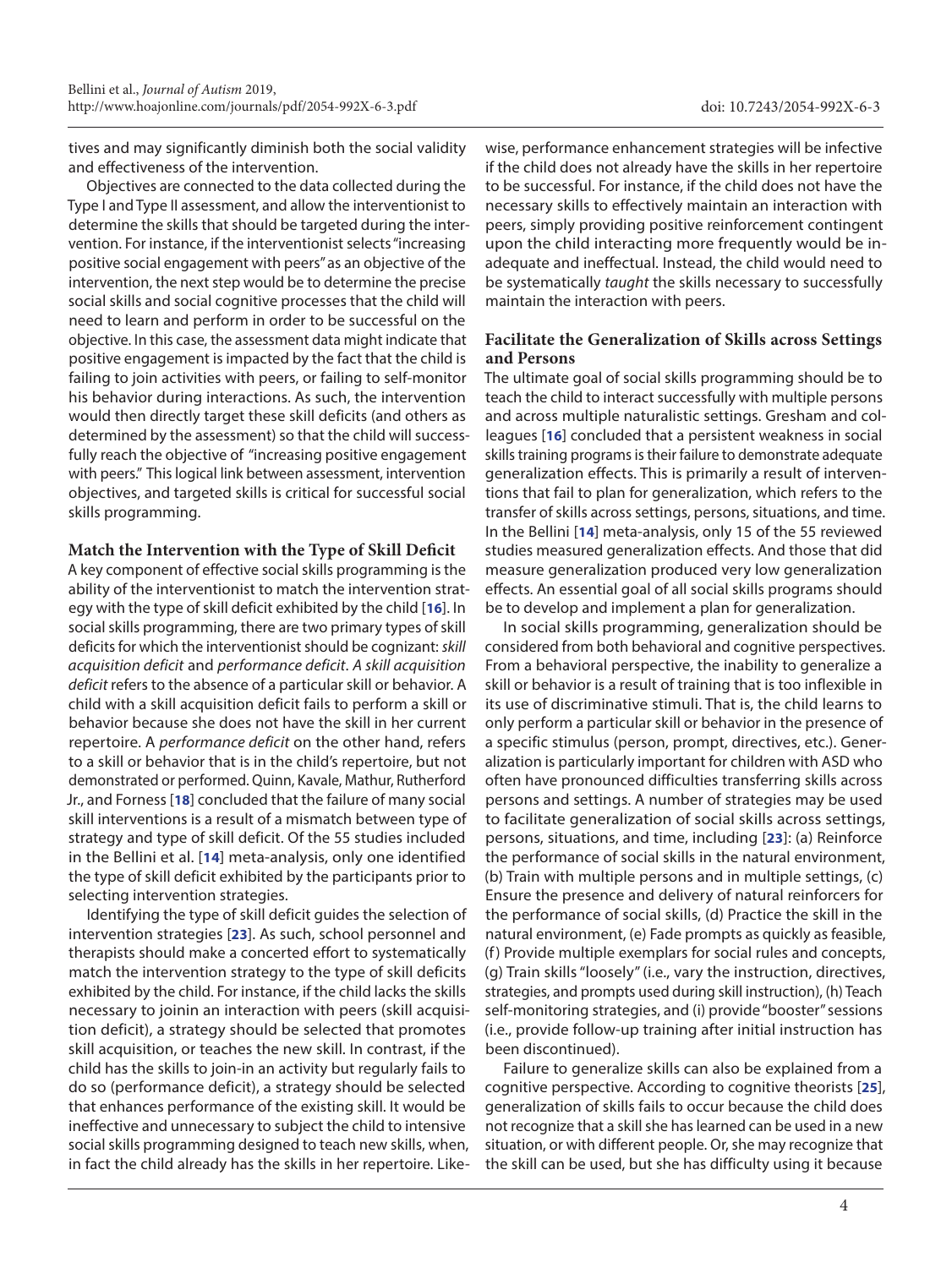tives and may significantly diminish both the social validity and effectiveness of the intervention.

Objectives are connected to the data collected during the Type I and Type II assessment, and allow the interventionist to determine the skills that should be targeted during the intervention. For instance, if the interventionist selects "increasing positive social engagement with peers" as an objective of the intervention, the next step would be to determine the precise social skills and social cognitive processes that the child will need to learn and perform in order to be successful on the objective. In this case, the assessment data might indicate that positive engagement is impacted by the fact that the child is failing to join activities with peers, or failing to self-monitor his behavior during interactions. As such, the intervention would then directly target these skill deficits (and others as determined by the assessment) so that the child will successfully reach the objective of "increasing positive engagement with peers." This logical link between assessment, intervention objectives, and targeted skills is critical for successful social skills programming.

#### **Match the Intervention with the Type of Skill Deficit**

A key component of effective social skills programming is the ability of the interventionist to match the intervention strategy with the type of skill deficit exhibited by the child [**[16](#page-6-9)**]. In social skills programming, there are two primary types of skill deficits for which the interventionist should be cognizant: *skill acquisition deficit* and *performance deficit*. *A skill acquisition deficit* refers to the absence of a particular skill or behavior. A child with a skill acquisition deficit fails to perform a skill or behavior because she does not have the skill in her current repertoire. A *performance deficit* on the other hand, refers to a skill or behavior that is in the child's repertoire, but not demonstrated or performed. Quinn, Kavale, Mathur, Rutherford Jr., and Forness [**[18](#page-6-14)**] concluded that the failure of many social skill interventions is a result of a mismatch between type of strategy and type of skill deficit. Of the 55 studies included in the Bellini et al. [**[14](#page-6-7)**] meta-analysis, only one identified the type of skill deficit exhibited by the participants prior to selecting intervention strategies.

Identifying the type of skill deficit guides the selection of intervention strategies [**[23](#page-6-12)**]. As such, school personnel and therapists should make a concerted effort to systematically match the intervention strategy to the type of skill deficits exhibited by the child. For instance, if the child lacks the skills necessary to joinin an interaction with peers (skill acquisition deficit), a strategy should be selected that promotes skill acquisition, or teaches the new skill. In contrast, if the child has the skills to join-in an activity but regularly fails to do so (performance deficit), a strategy should be selected that enhances performance of the existing skill. It would be ineffective and unnecessary to subject the child to intensive social skills programming designed to teach new skills, when, in fact the child already has the skills in her repertoire. Likewise, performance enhancement strategies will be infective if the child does not already have the skills in her repertoire to be successful. For instance, if the child does not have the necessary skills to effectively maintain an interaction with peers, simply providing positive reinforcement contingent upon the child interacting more frequently would be inadequate and ineffectual. Instead, the child would need to be systematically *taught* the skills necessary to successfully maintain the interaction with peers.

#### **Facilitate the Generalization of Skills across Settings and Persons**

The ultimate goal of social skills programming should be to teach the child to interact successfully with multiple persons and across multiple naturalistic settings. Gresham and colleagues [**[16](#page-6-9)**] concluded that a persistent weakness in social skills training programs is their failure to demonstrate adequate generalization effects. This is primarily a result of interventions that fail to plan for generalization, which refers to the transfer of skills across settings, persons, situations, and time. In the Bellini [**[14](#page-6-7)**] meta-analysis, only 15 of the 55 reviewed studies measured generalization effects. And those that did measure generalization produced very low generalization effects. An essential goal of all social skills programs should be to develop and implement a plan for generalization.

In social skills programming, generalization should be considered from both behavioral and cognitive perspectives. From a behavioral perspective, the inability to generalize a skill or behavior is a result of training that is too inflexible in its use of discriminative stimuli. That is, the child learns to only perform a particular skill or behavior in the presence of a specific stimulus (person, prompt, directives, etc.). Generalization is particularly important for children with ASD who often have pronounced difficulties transferring skills across persons and settings. A number of strategies may be used to facilitate generalization of social skills across settings, persons, situations, and time, including [**[23](#page-6-12)**]: (a) Reinforce the performance of social skills in the natural environment, (b) Train with multiple persons and in multiple settings, (c) Ensure the presence and delivery of natural reinforcers for the performance of social skills, (d) Practice the skill in the natural environment, (e) Fade prompts as quickly as feasible, (f) Provide multiple exemplars for social rules and concepts, (g) Train skills "loosely" (i.e., vary the instruction, directives, strategies, and prompts used during skill instruction), (h) Teach self-monitoring strategies, and (i) provide "booster" sessions (i.e., provide follow-up training after initial instruction has been discontinued).

Failure to generalize skills can also be explained from a cognitive perspective. According to cognitive theorists [**[25](#page-6-16)**], generalization of skills fails to occur because the child does not recognize that a skill she has learned can be used in a new situation, or with different people. Or, she may recognize that the skill can be used, but she has difficulty using it because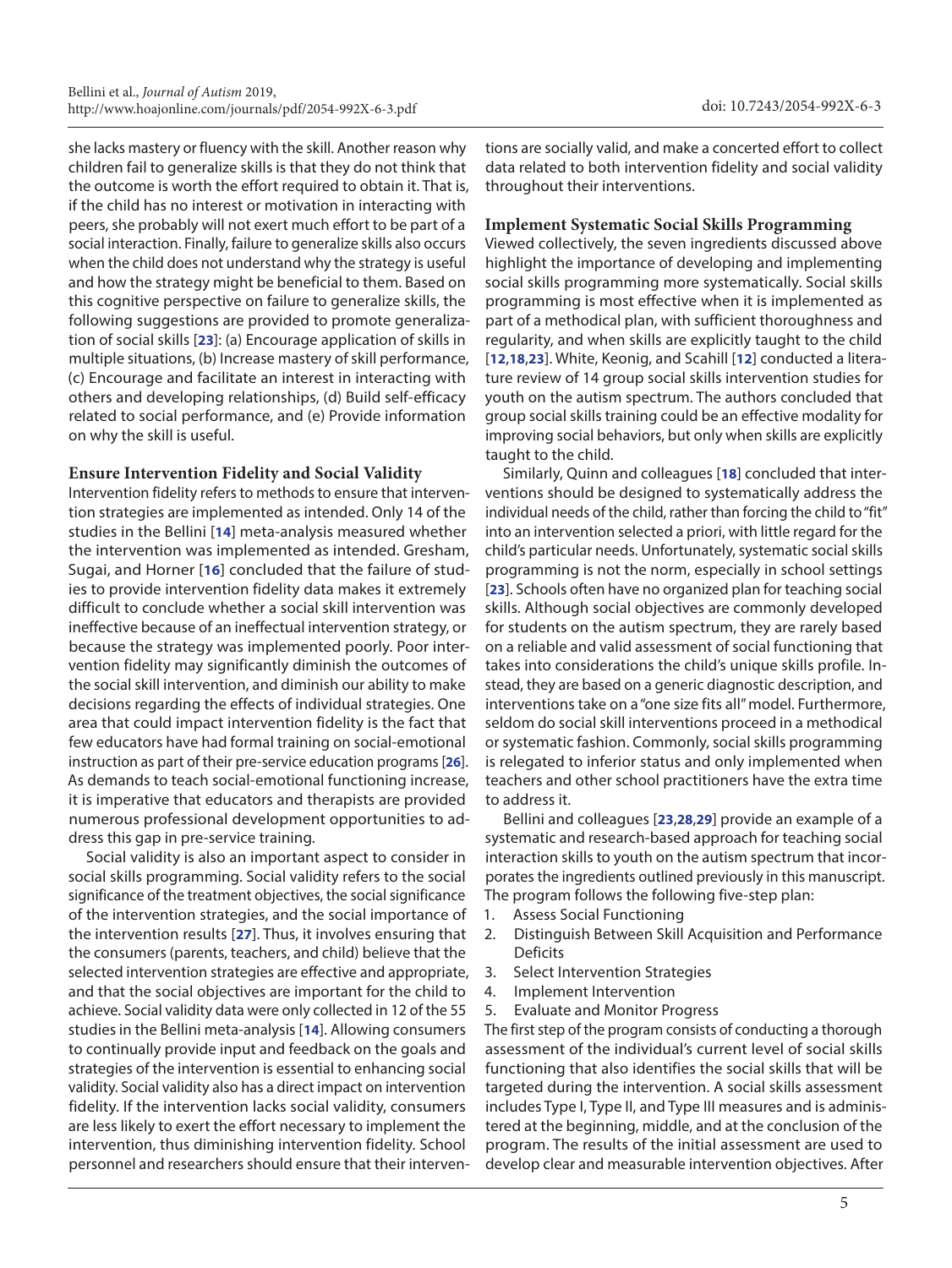she lacks mastery or fluency with the skill. Another reason why children fail to generalize skills is that they do not think that the outcome is worth the effort required to obtain it. That is, if the child has no interest or motivation in interacting with peers, she probably will not exert much effort to be part of a social interaction. Finally, failure to generalize skills also occurs when the child does not understand why the strategy is useful and how the strategy might be beneficial to them. Based on this cognitive perspective on failure to generalize skills, the following suggestions are provided to promote generalization of social skills [**[23](#page-6-12)**]: (a) Encourage application of skills in multiple situations, (b) Increase mastery of skill performance, (c) Encourage and facilitate an interest in interacting with others and developing relationships, (d) Build self-efficacy related to social performance, and (e) Provide information on why the skill is useful.

## **Ensure Intervention Fidelity and Social Validity**

Intervention fidelity refers to methods to ensure that intervention strategies are implemented as intended. Only 14 of the studies in the Bellini [**[14](#page-6-7)**] meta-analysis measured whether the intervention was implemented as intended. Gresham, Sugai, and Horner [**[16](#page-6-9)**] concluded that the failure of studies to provide intervention fidelity data makes it extremely difficult to conclude whether a social skill intervention was ineffective because of an ineffectual intervention strategy, or because the strategy was implemented poorly. Poor intervention fidelity may significantly diminish the outcomes of the social skill intervention, and diminish our ability to make decisions regarding the effects of individual strategies. One area that could impact intervention fidelity is the fact that few educators have had formal training on social-emotional instruction as part of their pre-service education programs [**[26](#page-6-17)**]. As demands to teach social-emotional functioning increase, it is imperative that educators and therapists are provided numerous professional development opportunities to address this gap in pre-service training.

Social validity is also an important aspect to consider in social skills programming. Social validity refers to the social significance of the treatment objectives, the social significance of the intervention strategies, and the social importance of the intervention results [**[27](#page-6-18)**]. Thus, it involves ensuring that the consumers (parents, teachers, and child) believe that the selected intervention strategies are effective and appropriate, and that the social objectives are important for the child to achieve. Social validity data were only collected in 12 of the 55 studies in the Bellini meta-analysis [**[14](#page-6-7)**]. Allowing consumers to continually provide input and feedback on the goals and strategies of the intervention is essential to enhancing social validity. Social validity also has a direct impact on intervention fidelity. If the intervention lacks social validity, consumers are less likely to exert the effort necessary to implement the intervention, thus diminishing intervention fidelity. School personnel and researchers should ensure that their interventions are socially valid, and make a concerted effort to collect data related to both intervention fidelity and social validity throughout their interventions.

#### **Implement Systematic Social Skills Programming**

Viewed collectively, the seven ingredients discussed above highlight the importance of developing and implementing social skills programming more systematically. Social skills programming is most effective when it is implemented as part of a methodical plan, with sufficient thoroughness and regularity, and when skills are explicitly taught to the child [**[12](#page-6-19)**,**[18](#page-6-14)**,**[23](#page-6-12)**]. White, Keonig, and Scahill [**[12](#page-6-19)**] conducted a literature review of 14 group social skills intervention studies for youth on the autism spectrum. The authors concluded that group social skills training could be an effective modality for improving social behaviors, but only when skills are explicitly taught to the child.

Similarly, Quinn and colleagues [**[18](#page-6-14)**] concluded that interventions should be designed to systematically address the individual needs of the child, rather than forcing the child to "fit" into an intervention selected a priori, with little regard for the child's particular needs. Unfortunately, systematic social skills programming is not the norm, especially in school settings [**[23](#page-6-12)**]. Schools often have no organized plan for teaching social skills. Although social objectives are commonly developed for students on the autism spectrum, they are rarely based on a reliable and valid assessment of social functioning that takes into considerations the child's unique skills profile. Instead, they are based on a generic diagnostic description, and interventions take on a "one size fits all" model. Furthermore, seldom do social skill interventions proceed in a methodical or systematic fashion. Commonly, social skills programming is relegated to inferior status and only implemented when teachers and other school practitioners have the extra time to address it.

Bellini and colleagues [**[23](#page-6-12)**,**[28](#page-6-20)**,**[29](#page-6-21)**] provide an example of a systematic and research-based approach for teaching social interaction skills to youth on the autism spectrum that incorporates the ingredients outlined previously in this manuscript. The program follows the following five-step plan:

- 1. Assess Social Functioning
- 2. Distinguish Between Skill Acquisition and Performance Deficits
- 3. Select Intervention Strategies
- 4. Implement Intervention
- 5. Evaluate and Monitor Progress

The first step of the program consists of conducting a thorough assessment of the individual's current level of social skills functioning that also identifies the social skills that will be targeted during the intervention. A social skills assessment includes Type I, Type II, and Type III measures and is administered at the beginning, middle, and at the conclusion of the program. The results of the initial assessment are used to develop clear and measurable intervention objectives. After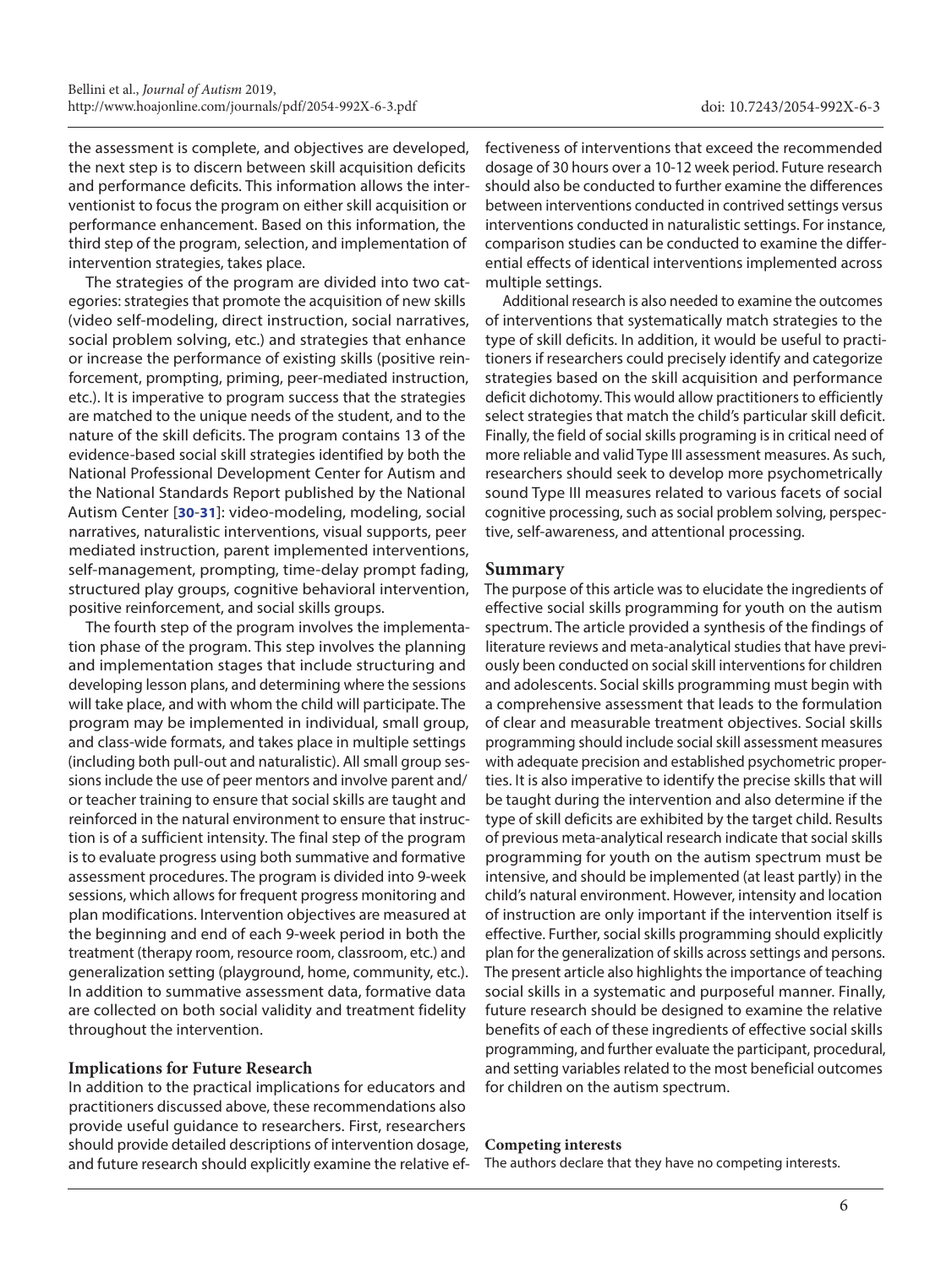the assessment is complete, and objectives are developed, the next step is to discern between skill acquisition deficits and performance deficits. This information allows the interventionist to focus the program on either skill acquisition or performance enhancement. Based on this information, the third step of the program, selection, and implementation of intervention strategies, takes place.

The strategies of the program are divided into two categories: strategies that promote the acquisition of new skills (video self-modeling, direct instruction, social narratives, social problem solving, etc.) and strategies that enhance or increase the performance of existing skills (positive reinforcement, prompting, priming, peer-mediated instruction, etc.). It is imperative to program success that the strategies are matched to the unique needs of the student, and to the nature of the skill deficits. The program contains 13 of the evidence-based social skill strategies identified by both the National Professional Development Center for Autism and the National Standards Report published by the National Autism Center [**[30](#page-6-22)**-**[31](#page-6-23)**]: video-modeling, modeling, social narratives, naturalistic interventions, visual supports, peer mediated instruction, parent implemented interventions, self-management, prompting, time-delay prompt fading, structured play groups, cognitive behavioral intervention, positive reinforcement, and social skills groups.

The fourth step of the program involves the implementation phase of the program. This step involves the planning and implementation stages that include structuring and developing lesson plans, and determining where the sessions will take place, and with whom the child will participate. The program may be implemented in individual, small group, and class-wide formats, and takes place in multiple settings (including both pull-out and naturalistic). All small group sessions include the use of peer mentors and involve parent and/ or teacher training to ensure that social skills are taught and reinforced in the natural environment to ensure that instruction is of a sufficient intensity. The final step of the program is to evaluate progress using both summative and formative assessment procedures. The program is divided into 9-week sessions, which allows for frequent progress monitoring and plan modifications. Intervention objectives are measured at the beginning and end of each 9-week period in both the treatment (therapy room, resource room, classroom, etc.) and generalization setting (playground, home, community, etc.). In addition to summative assessment data, formative data are collected on both social validity and treatment fidelity throughout the intervention.

#### **Implications for Future Research**

In addition to the practical implications for educators and practitioners discussed above, these recommendations also provide useful guidance to researchers. First, researchers should provide detailed descriptions of intervention dosage, and future research should explicitly examine the relative effectiveness of interventions that exceed the recommended dosage of 30 hours over a 10-12 week period. Future research should also be conducted to further examine the differences between interventions conducted in contrived settings versus interventions conducted in naturalistic settings. For instance, comparison studies can be conducted to examine the differential effects of identical interventions implemented across multiple settings.

Additional research is also needed to examine the outcomes of interventions that systematically match strategies to the type of skill deficits. In addition, it would be useful to practitioners if researchers could precisely identify and categorize strategies based on the skill acquisition and performance deficit dichotomy. This would allow practitioners to efficiently select strategies that match the child's particular skill deficit. Finally, the field of social skills programing is in critical need of more reliable and valid Type III assessment measures. As such, researchers should seek to develop more psychometrically sound Type III measures related to various facets of social cognitive processing, such as social problem solving, perspective, self-awareness, and attentional processing.

#### **Summary**

The purpose of this article was to elucidate the ingredients of effective social skills programming for youth on the autism spectrum. The article provided a synthesis of the findings of literature reviews and meta-analytical studies that have previously been conducted on social skill interventions for children and adolescents. Social skills programming must begin with a comprehensive assessment that leads to the formulation of clear and measurable treatment objectives. Social skills programming should include social skill assessment measures with adequate precision and established psychometric properties. It is also imperative to identify the precise skills that will be taught during the intervention and also determine if the type of skill deficits are exhibited by the target child. Results of previous meta-analytical research indicate that social skills programming for youth on the autism spectrum must be intensive, and should be implemented (at least partly) in the child's natural environment. However, intensity and location of instruction are only important if the intervention itself is effective. Further, social skills programming should explicitly plan for the generalization of skills across settings and persons. The present article also highlights the importance of teaching social skills in a systematic and purposeful manner. Finally, future research should be designed to examine the relative benefits of each of these ingredients of effective social skills programming, and further evaluate the participant, procedural, and setting variables related to the most beneficial outcomes for children on the autism spectrum.

#### **Competing interests**

The authors declare that they have no competing interests.